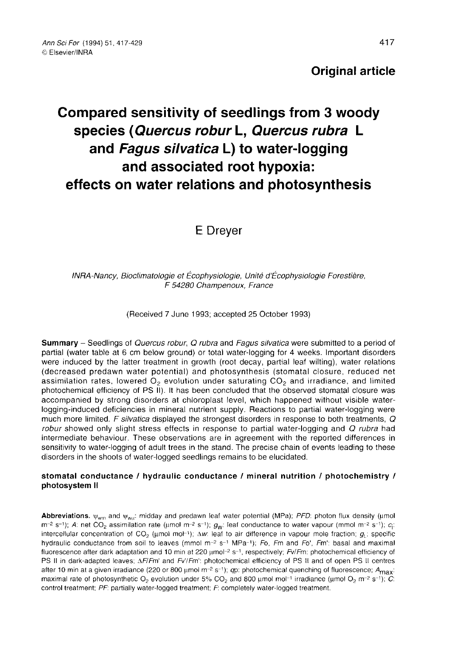# Compared sensitivity of seedlings from 3 woody species (Quercus robur L, Quercus rubra L and Fagus silvatica L) to water-logging and associated root hypoxia: effects on water relations and photosynthesis

## E Dreyer

INRA-Nancy, Bioclimatologie et Écophysiologie, Unité d'Écophysiologie Forestière, F 54280 Champenoux, France

(Received 7 June 1993; accepted 25 October 1993)

Summary - Seedlings of Quercus robur, Q rubra and Fagus silvatica were submitted to a period of partial (water table at 6 cm below ground) or total water-logging for 4 weeks. Important disorders were induced by the latter treatment in growth (root decay, partial leaf wilting), water relations (decreased predawn water potential) and photosynthesis (stomatal closure, reduced net assimilation rates, lowered  $O<sub>2</sub>$  evolution under saturating  $CO<sub>2</sub>$  and irradiance, and limited photochemical efficiency of PS II). It has been concluded that the observed stomatal closure was accompanied by strong disorders at chloroplast level, which happened without visible waterlogging-induced deficiencies in mineral nutrient supply. Reactions to partial water-logging were much more limited. F silvatica displayed the strongest disorders in response to both treatments,  $Q$ robur showed only slight stress effects in response to partial water-logging and Q rubra had intermediate behaviour. These observations are in agreement with the reported differences in sensitivity to water-logging of adult trees in the stand. The precise chain of events leading to these disorders in the shoots of water-logged seedlings remains to be elucidated.

#### stomatal conductance / hydraulic conductance / mineral nutrition / photochemistry / photosystem II

**Abbreviations.**  $\psi_{wm}$  and  $\psi_{wU}$ : midday and predawn leaf water potential (MPa); *PFD*: photon flux density (µmol m<sup>-2</sup> s<sup>-1</sup>); *A*: net CO<sub>2</sub> assimilation rate (µmol m<sup>-2</sup> s<sup>-1</sup>); *G*<sub>0</sub>: leaf conductance to water v hydraulic conductance from soil to leaves (mmol  $m^{-2}$  s<sup>-1</sup> MPa<sup>-1</sup>); Fo, Fm and Fo', Fm': basal and maximal fluorescence after dark adaptation and 10 min at 220  $\mu$ mol<sup>-2</sup> s<sup>-1</sup>, respectively; Fv/Fm: photochemical efficiency of PS II in dark-adapted leaves: ΔF/Fm' and Fv'/Fm': photochemical efficiency of PS II and of open PS II centres after 10 min at a given irradiance (220 or 800 μmol m<sup>-2</sup> s<sup>-1</sup>); qp: photochemical quenching of fluorescence; A<sub>max</sub>: maximal rate of photosynthetic O<sub>2</sub> evolution under 5% CO<sub>2</sub> and 800 μmol mol<sup>-1</sup> irradiance (μmol O<sub>2</sub> control treatment; PF: partially water-logged treatment; F: completely water-logged treatment.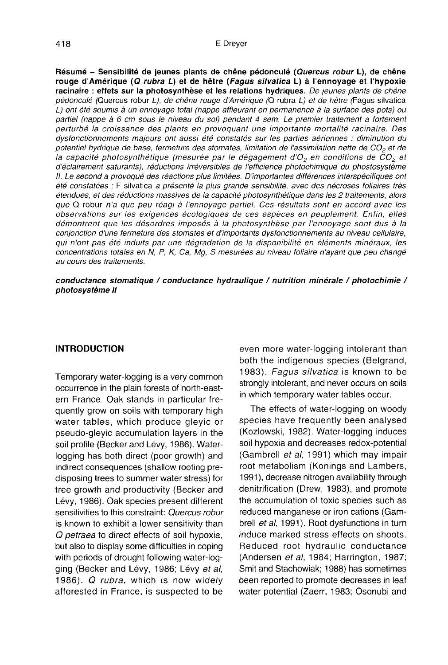Résumé - Sensibilité de jeunes plants de chêne pédonculé (Quercus robur L), de chêne rouge d'Amérique (Q rubra L) et de hêtre (Fagus silvatica L) à l'ennoyage et l'hypoxie racinaire : effets sur la photosynthèse et les relations hydriques. De jeunes plants de chêne pédonculé (Quercus robur L), de chêne rouge d'Amérique (Q rubra L) et de hêtre (Fagus silvatica L) ont été soumis à un ennoyage total (nappe affleurant en permanence à la surface des pots) ou partiel (nappe à 6 cm sous le niveau du sol) pendant 4 sem. Le premier traitement a fortement perturbé la croissance des plants en provoquant une importante mortalité racinaire. Des dysfonctionnements majeurs ont aussi été constatés sur les parties aériennes : diminution du<br>potentiel hydrique de base, fermeture des stomates, limitation de l'assimilation nette de CO<sub>2</sub> et de<br>la capacité photocypthétiqu potentiel hydrique de base, fermeture des stomates, limitation de l'assimilation nette de CO<sub>2</sub> et de<br>la capacité photosynthétique (mesurée par le dégagement d'O<sub>2</sub> en conditions de CO<sub>2</sub> et d'éclairement saturants), réductions irréversibles de l'efficience photochimique du phostosystème II. Le second a provoqué des réactions plus limitées. D'importantes différences interspécifiques ont été constatées ; F silvatica a présenté la plus grande sensibilité, avec des nécroses foliaires très étendues, et des réductions massives de la capacité photosynthétique dans les 2 traitements, alors que Q robur n'a que peu réagi à l'ennoyage partiel. Ces résultats sont en accord avec les observations sur les exigences écologiques de ces espèces en peuplement. Enfin, elles démontrent que les désordres imposés à la photosynthèse par l'ennoyage sont dus à la conjonction d'une fermeture des stomates et d'importants dysfonctionnements au niveau cellulaire, qui n'ont pas été induits par une dégradation de la disponibilité en éléments minéraux, les concentrations totales en N, P, K, Ca, Mg, S mesurées au niveau foliaire n'ayant que peu changé au cours des traitements.

conductance stomatique / conductance hydraulique / nutrition minérale / photochimie / photosystème II

#### INTRODUCTION

Temporary water-logging is a very common occurrence in the plain forests of north-eastern France. Oak stands in particular frequently grow on soils with temporary high water tables, which produce gleyic or pseudo-gleyic accumulation layers in the soil profile (Becker and Lévy, 1986). Waterlogging has both direct (poor growth) and indirect consequences (shallow rooting predisposing trees to summer water stress) for tree growth and productivity (Becker and Lévy, 1986). Oak species present different sensitivities to this constraint: Quercus robur is known to exhibit a lower sensitivity than Q petraea to direct effects of soil hypoxia, but also to display some difficulties in coping with periods of drought following water-logging (Becker and Lévy, 1986; Lévy et al, 1986). Q rubra, which is now widely afforested in France, is suspected to be

even more water-logging intolerant than both the indigenous species (Belgrand, 1983). Fagus silvatica is known to be strongly intolerant, and never occurs on soils in which temporary water tables occur.

The effects of water-logging on woody species have frequently been analysed (Kozlowski, 1982). Water-logging induces soil hypoxia and decreases redox-potential (Gambrell et al, 1991) which may impair root metabolism (Konings and Lambers, 1991), decrease nitrogen availability through denitrification (Drew, 1983), and promote the accumulation of toxic species such as reduced manganese or iron cations (Gambrell et al, 1991). Root dysfunctions in turn induce marked stress effects on shoots. Reduced root hydraulic conductance (Andersen et al, 1984; Harrington, 1987; Smit and Stachowiak; 1988) has sometimes been reported to promote decreases in leaf water potential (Zaerr, 1983; Osonubi and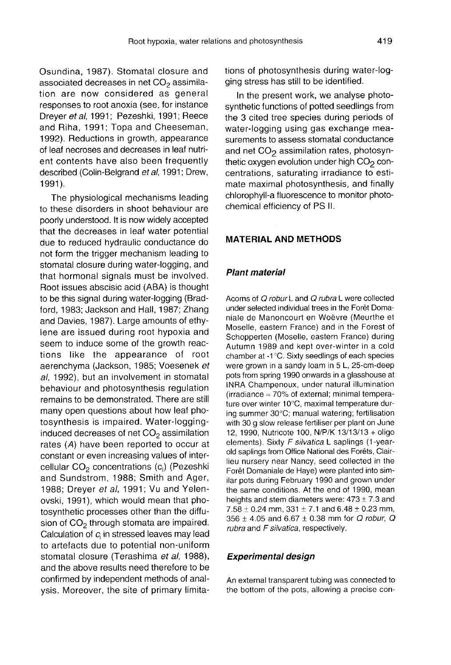Osundina, 1987). Stomatal closure and associated decreases in net CO<sub>2</sub> assimilation are now considered as general responses to root anoxia (see, for instance Dreyer et al, 1991; Pezeshki, 1991; Reece and Riha, 1991; Topa and Cheeseman, 1992). Reductions in growth, appearance of leaf necroses and decreases in leaf nutrient contents have also been frequently described (Colin-Belgrand et al, 1991; Drew, 1991).

The physiological mechanisms leading to these disorders in shoot behaviour are poorly understood. It is now widely accepted that the decreases in leaf water potential due to reduced hydraulic conductance do not form the trigger mechanism leading to stomatal closure during water-logging, and that hormonal signals must be involved. Root issues abscisic acid (ABA) is thought to be this signal during water-logging (Bradford, 1983; Jackson and Hall, 1987; Zhang and Davies, 1987). Large amounts of ethylene are issued during root hypoxia and seem to induce some of the growth reactions like the appearance of root aerenchyma (Jackson, 1985; Voesenek et al, 1992), but an involvement in stomatal behaviour and photosynthesis regulation remains to be demonstrated. There are still many open questions about how leaf photosynthesis is impaired. Water-logging-<br>induced decreases of net  $CO<sub>2</sub>$  assimilation rates (A) have been reported to occur at constant or even increasing values of inter-<br>cellular CO<sub>2</sub> concentrations (c<sub>i</sub>) (Pezeshki<br>and Sundatrom, 1988; Smith and Agor and Sundstrom, 1988; Smith and Ager, 1988; Dreyer et al, 1991; Vu and Yelenovski, 1991), which would mean that photosynthetic processes other than the diffusion of  $CO<sub>2</sub>$  through stomata are impaired. Calculation of  $c_i$  in stressed leaves may lead to artefacts due to potential non-uniform stomatal closure (Terashima et al, 1988), and the above results need therefore to be confirmed by independent methods of analysis. Moreover, the site of primary limitations of photosynthesis during water-logging stress has still to be identified.

In the present work, we analyse photosynthetic functions of potted seedlings from the 3 cited tree species during periods of water-logging using gas exchange measurements to assess stomatal conductance<br>and net  $CO<sub>2</sub>$  assimilation rates, photosyn-<br>thetic oxygen evolution under bigh CO<sub>2</sub>.cop and net CO<sub>2</sub> assimilation rates, photosyn-<br>thetic oxygen evolution under high CO<sub>2</sub> concentrations, saturating irradiance to estimate maximal photosynthesis, and finally chlorophyll-a fluorescence to monitor photochemical efficiency of PS II.

#### MATERIAL AND METHODS

#### Plant material

Acorns of Q robur L and Q rubra L were collected under selected individual trees in the Forêt Domaniale de Manoncourt en Woëvre (Meurthe et Moselle, eastern France) and in the Forest of Schopperten (Moselle, eastern France) during Autumn 1989 and kept over-winter in a cold chamber at -1°C. Sixty seedlings of each species were grown in a sandy loam in 5 L, 25-cm-deep pots from spring 1990 onwards in a glasshouse at INRA Champenoux, under natural illumination (irradiance  $\approx$  70% of external; minimal temperature over winter 10°C, maximal temperature during summer 30°C; manual watering; fertilisation with 30 g slow release fertiliser per plant on June 12, 1990, Nutricote 100, N/P/K 13/13/13 + oligo elements). Sixty F silvatica L saplings (1-yearold saplings from Office National des Forêts, Clairlieu nursery near Nancy, seed collected in the Forêt Domaniale de Haye) were planted into similar pots during February 1990 and grown under the same conditions. At the end of 1990, mean heights and stem diameters were:  $473 \pm 7.3$  and  $7.58 \pm 0.24$  mm,  $331 \pm 7.1$  and  $6.48 \pm 0.23$  mm, 356 ± 4.05 and 6.67 ± 0.38 mm for Q robur, Q rubra and F silvatica, respectively.

#### Experimental design

An external transparent tubing was connected to the bottom of the pots, allowing a precise con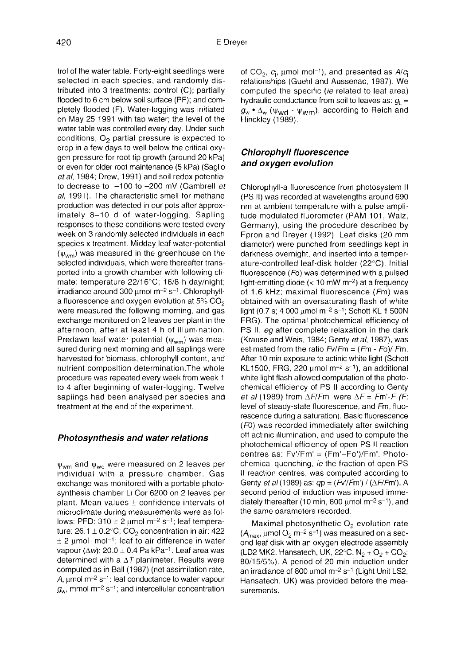trol of the water table. Forty-eight seedlings were selected in each species, and randomly distributed into 3 treatments: control (C); partially flooded to 6 cm below soil surface (PF); and completely flooded (F). Water-logging was initiated on May 25 1991 with tap water; the level of the water table was controlled every day. Under such conditions,  $O<sub>2</sub>$  partial pressure is expected to drop in a few days to well below the critical oxygen pressure for root tip growth (around 20 kPa) or even for older root maintenance (5 kPa) (Saglio et al, 1984; Drew, 1991) and soil redox potential to decrease to  $-100$  to  $-200$  mV (Gambrell et al, 1991). The characteristic smell for methane production was detected in our pots after approximately 8-10 d of water-logging. Sapling responses to these conditions were tested every week on 3 randomly selected individuals in each species x treatment. Midday leaf water-potential  $(\psi_{wm})$  was measured in the greenhouse on the selected individuals, which were thereafter transported into a growth chamber with following climate: temperature 22/16°C; 16/8 h day/night; irradiance around 300  $\mu$ mol m<sup>-2</sup> s<sup>-1</sup>. Chlorophyll-<br>a fluorescence and oxygen evolution at 5% CO<sub>2</sub> were measured the following morning, and gas exchange monitored on 2 leaves per plant in the afternoon, after at least 4 h of illumination. Predawn leaf water potential  $(\psi_{wm})$  was measured during next morning and all saplings were harvested for biomass, chlorophyll content, and nutrient composition determination.The whole procedure was repeated every week from week 1 to 4 after beginning of water-logging. Twelve saplings had been analysed per species and treatment at the end of the experiment.

#### Photosynthesis and water relations

 $\psi_{wm}$  and  $\psi_{wd}$  were measured on 2 leaves per individual with a pressure chamber. Gas exchange was monitored with a portable photosynthesis chamber Li Cor 6200 on 2 leaves per plant. Mean values  $\pm$  confidence intervals of microclimate during measurements were as folmicroclimate during measurements were as fol-<br>lows: PFD:  $310 \pm 2$  µmol m<sup>-2</sup> s<sup>-1</sup>; leaf tempera-<br>ture:  $26.1 \pm 0.2^{\circ}$ C; CO<sub>2</sub> concentration in air: 422<br> $\pm 2$  umol, mal-1; leaf to air difference in unter lows: PFD: 310  $\pm$  2 µmol m<sup>-2</sup> s<sup>-1</sup>; leaf tempera-<br>ture: 26.1  $\pm$  0.2°C; CO<sub>2</sub> concentration in air: 422<br> $\pm$  2 µmol mol<sup>-1</sup>; leaf to air difference in water<br>vapour (Aw): 20.0 + 0.4 Pa kPa<sup>-1</sup>. Leaf area was ture: 26.1 ± 0.2°C; CO<sub>2</sub> concentration in air: 422<br>± 2 μmol mol<sup>\_1</sup>; leaf to air difference in water<br>vapour (Δw): 20.0 ± 0.4 Pa kPa<sup>\_1</sup>. Leaf area was determined with a  $\Delta T$  planimeter. Results were computed as in Ball (1987) (net assimilation rate, A,  $\mu$ mol m<sup>-2</sup> s<sup>-1</sup>: leaf conductance to water vapour  $g_w$ , mmol m<sup>-2</sup> s<sup>-1</sup>; and intercellular concentration of CO<sub>2</sub>,  $c_i$ , μmol mol<sup>-1</sup>), and presented as  $A/c_i$ relationships (Guehl and Aussenac, 1987). We computed the specific (ie related to leaf area) hydraulic conductance from soil to leaves as:  $g_{\parallel}$  =  $g_w \cdot \Delta_w$  ( $\psi_{wd} \cdot \psi_{wm}$ ), according to Reich and Hinckley (1989).

## Chlorophyll fluorescence and oxygen evolution

Chlorophyll-a fluorescence from photosystem II (PS II) was recorded at wavelengths around 690 nm at ambient temperature with a pulse amplitude modulated fluorometer (PAM 101, Walz, Germany), using the procedure described by Epron and Dreyer (1992). Leaf disks (20 mm diameter) were punched from seedlings kept in darkness overnight, and inserted into a temperature-controlled leaf-disk holder (22°C). Initial fluorescence (Fo) was determined with a pulsed light-emitting diode  $(< 10 \text{ mW m}^{-2})$  at a frequency of 1.6 kHz; maximal fluorescence (Fm) was obtained with an oversaturating flash of white light (0.7 s; 4 000 μmol m<sup>-2</sup> s<sup>-1</sup>; Schott KL 1 500N FRG). The optimal photochemical efficiency of PS II, eg after complete relaxation in the dark (Krause and Weis, 1984; Genty et al, 1987), was estimated from the ratio  $Fv/Fm = (Fm - Fo)/Fm$ . After 10 min exposure to actinic white light (Schott<br>KL1500, FRG, 220 μmol m<sup>-2</sup> s<sup>-1</sup>), an additional<br>ubite light flach allowed computation of the photo white light flash allowed computation of the photochemical efficiency of PS II according to Genty et al (1989) from  $\Delta F/Fm'$  were  $\Delta F = Fm' \cdot F$  (F: level of steady-state fluorescence, and Fm, fluorescence during a saturation). Basic fluorescence (F0) was recorded immediately after switching off actinic illumination, and used to compute the photochemical efficiency of open PS II reaction centres as: Fv'/Fm' = (Fm'-Fo')/Fm'. Photochemical quenching, ie the fraction of open PS II reaction centres, was computed according to Genty *et al* (1989) as:  $qp = (Fv/Fm') / (\Delta F/Fm')$ . A second period of induction was imposed immediately thereafter (10 min, 800  $\mu$ mol m<sup>-2</sup> s<sup>-1</sup>), and the same parameters recorded.

Maximal photosynthetic  $O<sub>2</sub>$  evolution rate  $(A<sub>max</sub>, \text{µmol O}_2 \text{ m}^{-2} \text{ s}^{-1})$  was measured on a second leaf disk with an oxygen electrode assembly (LD2 MK2, Hansatech, UK,  $22^{\circ}$ C, N<sub>2</sub> + O<sub>2</sub> + CO<sub>2</sub>: 80/15/5%). A period of 20 min induction under an irradiance of 800 μmol m-2 s-1 (Light Unit LS2, Hansatech, UK) was provided before the measurements.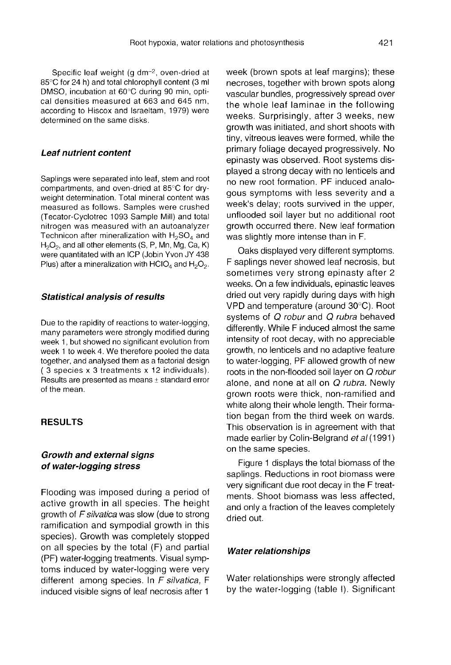Specific leaf weight (g dm-2, oven-dried at 85°C for 24 h) and total chlorophyll content (3 ml DMSO, incubation at 60°C during 90 min, optical densities measured at 663 and 645 nm, according to Hiscox and Israeltam, 1979) were determined on the same disks.

## Leaf nutrient content

Saplings were separated into leaf, stem and root compartments, and oven-dried at 85°C for dryweight determination. Total mineral content was measured as follows. Samples were crushed (Tecator-Cyclotrec 1093 Sample Mill) and total<br>nitrogen was measured with an autoanalyzer<br>Technicon after mineralization with H<sub>2</sub>SO<sub>4</sub> and<br>H<sub>2</sub>O<sub>2</sub>, and all other elements (S. P. Mn, Mg. Ca. K) nitrogen was measured with an autoanalyzer<br>Technicon after mineralization with H<sub>2</sub>SO<sub>4</sub> and nitrogen was measured with an autoanalyzer<br>Technicon after mineralization with H<sub>2</sub>SO<sub>4</sub> and<br>H<sub>2</sub>O<sub>2</sub>, and all other elements (S, P, Mn, Mg, Ca, K)<br>were quantitated with an ICP (Jobin Yvon JY 438 H<sub>2</sub>O<sub>2</sub>, and all other elements (S, P, Mn, Mg, Ca, K)<br>were quantitated with an ICP (Jobin Yvon JY 438<br>Plus) after a mineralization with HClO<sub>4</sub> and H<sub>2</sub>O<sub>2</sub>.

#### Statistical analysis of results

Due to the rapidity of reactions to water-logging, many parameters were strongly modified during week 1, but showed no significant evolution from week 1 to week 4. We therefore pooled the data together, and analysed them as a factorial design ( 3 species x 3 treatments x 12 individuals). Results are presented as means ± standard error of the mean.

## RESULTS

## Growth and external signs of water-logging stress

Flooding was imposed during a period of active growth in all species. The height growth of F silvatica was slow (due to strong ramification and sympodial growth in this species). Growth was completely stopped on all species by the total (F) and partial (PF) water-logging treatments. Visual symptoms induced by water-logging were very different among species. In F silvatica, F induced visible signs of leaf necrosis after 1 week (brown spots at leaf margins); these necroses, together with brown spots along vascular bundles, progressively spread over the whole leaf laminae in the following weeks. Surprisingly, after 3 weeks, new growth was initiated, and short shoots with tiny, vitreous leaves were formed, while the primary foliage decayed progressively. No epinasty was observed. Root systems displayed a strong decay with no lenticels and no new root formation. PF induced analogous symptoms with less severity and a week's delay; roots survived in the upper, unflooded soil layer but no additional root growth occurred there. New leaf formation was slightly more intense than in F.

Oaks displayed very different symptoms. F saplings never showed leaf necrosis, but sometimes very strong epinasty after 2 weeks. On a few individuals, epinastic leaves dried out very rapidly during days with high VPD and temperature (around 30°C). Root systems of Q robur and Q rubra behaved differently. While F induced almost the same intensity of root decay, with no appreciable growth, no lenticels and no adaptive feature to water-logging, PF allowed growth of new roots in the non-flooded soil layer on Q robur alone, and none at all on Q rubra. Newly grown roots were thick, non-ramified and white along their whole length. Their formation began from the third week on wards. This observation is in agreement with that made earlier by Colin-Belgrand et al (1991) on the same species.

Figure 1 displays the total biomass of the saplings. Reductions in root biomass were very significant due root decay in the F treatments. Shoot biomass was less affected, and only a fraction of the leaves completely dried out.

#### Water relationships

Water relationships were strongly affected by the water-logging (table I). Significant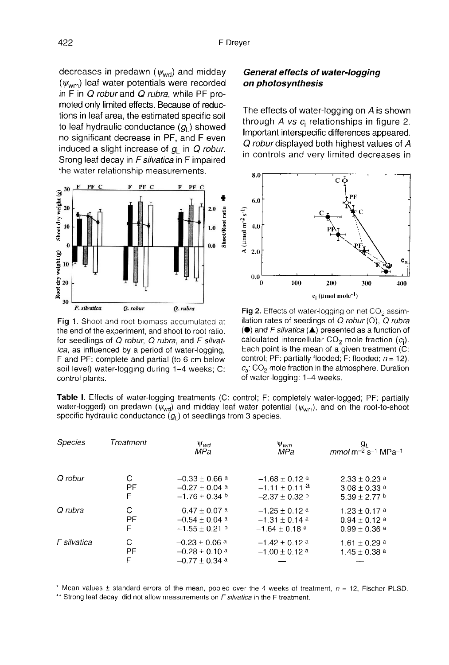decreases in predawn  $(\psi_{\text{wd}})$  and midday<br>( $\psi$  ) leaf water potentials were recorded decreases in predawn ( $\psi_{\text{wd}}$ ) and midday<br>( $\psi_{\text{wm}}$ ) leaf water potentials were recorded<br>in E in *O robur* and *O rubra*, while PE proin  $\overline{F}$  in  $\overline{Q}$  robur and  $\overline{Q}$  rubra, while PF promoted only limited effects. Because of reductions in leaf area, the estimated specific soil to leaf hydraulic conductance  $(q<sub>L</sub>)$  showed no significant decrease in PF, and F even<br>induced a slight increase of  $g_L$  in Q robur.<br>Steps lot decov in E silvatios in E impoired Srong leaf decay in F silvatica in F impaired the water relationship measurements.



Fig 1. Shoot and root biomass accumulated at the end of the experiment, and shoot to root ratio, for seedlings of Q robur, Q rubra, and F silvatica, as influenced by a period of water-logging, F and PF: complete and partial (to 6 cm below soil level) water-logging during 1-4 weeks; C: control plants.

## General effects of water-logging on photosynthesis

The effects of water-logging on A is shown through A vs  $c_i$  relationships in figure 2. Important interspecific differences appeared. Q robur displayed both highest values of A in controls and very limited decreases in



Fig 2. Effects of water-logging on net  $CO<sub>2</sub>$  assimilation rates of seedings of  $Q$  robur (O),  $Q$  rubra  $\left(\bullet\right)$  and F silvatica ( $\blacktriangle$ ) presented as a function of calculated intercellular  $CO<sub>2</sub>$  mole fraction ( $c<sub>i</sub>$ ). Each point is the mean of a given treatment (C: control; PF: partially flooded; F: flooded;  $n = 12$ ).  $c_a$ : CO<sub>2</sub> mole fraction in the atmosphere. Duration of water-logging: 1-4 weeks.

Table I. Effects of water-logging treatments (C: control; F: completely water-logged; PF: partially water-logged) on predawn  $(\psi_{wd})$  and midday leaf water potential ( $\psi_{wm}$ ), and on the root-to-shoot specific hydraulic conductance  $(g<sub>1</sub>)$  of seedlings from 3 species.

| <b>Species</b> | Treatment    | $\Psi_{wd}$<br><b>MPa</b>                                               | $\Psi_{wm}$<br>MPa                                | $g_L$<br>$mmol$ m <sup>-2</sup> s <sup>-1</sup> MPa <sup>-1</sup> |
|----------------|--------------|-------------------------------------------------------------------------|---------------------------------------------------|-------------------------------------------------------------------|
| Q robur        | С            | $-0.33 + 0.66$ <sup>a</sup>                                             | $-1.68 + 0.12$ <sup>a</sup>                       | $2.33 \pm 0.23$ a                                                 |
|                | РF           | $-0.27 \pm 0.04$ a                                                      | $-1.11 \pm 0.11$ <sup>a</sup>                     | $3.08 \pm 0.33$ a                                                 |
|                | F            | $-1.76 + 0.34$                                                          | $-2.37 + 0.32$ b                                  | $5.39 + 2.77$ b                                                   |
| Q rubra        | С            | $-0.47 \pm 0.07$ a                                                      | $-1.25 + 0.12$ <sup>a</sup>                       | $1.23 \pm 0.17$ a                                                 |
|                | PF           | $-0.54 \pm 0.04$ a                                                      | $-1.31 + 0.14$ a                                  | $0.94 \pm 0.12$ a                                                 |
|                | F            | $-1.55 \pm 0.21$ b                                                      | $-1.64 + 0.18$ <sup>a</sup>                       | $0.99 \pm 0.36$ a                                                 |
| F silvatica    | С<br>РF<br>F | $-0.23 \pm 0.06$ <sup>a</sup><br>$-0.28 \pm 0.10$ a<br>$-0.77 + 0.34$ a | $-1.42 + 0.12$ <sup>a</sup><br>$-1.00 \pm 0.12$ a | $1.61 \pm 0.29$ a<br>$1.45 \pm 0.38$ <sup>a</sup>                 |

\* Mean values  $\pm$  standard errors of the mean, pooled over the 4 weeks of treatment,  $n = 12$ , Fischer PLSD. \*\* Strong leaf decay did not allow measurements on F silvatica in the F treatment.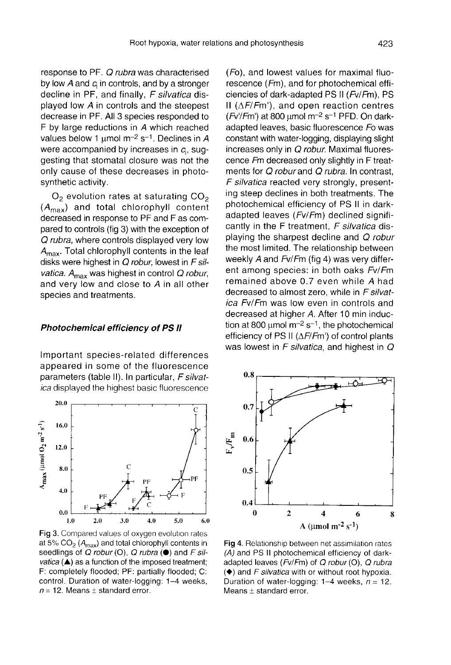response to PF. Q rubra was characterised by low  $A$  and  $c_i$  in controls, and by a stronger decline in PF, and finally, F silvatica displayed low A in controls and the steepest decrease in PF. All 3 species responded to F by large reductions in A which reached values below 1  $\mu$ mol m<sup>-2</sup> s<sup>-1</sup>. Declines in A were accompanied by increases in  $c_i$ , suggesting that stomatal closure was not the only cause of these decreases in photosynthetic activity.

 $O<sub>2</sub>$  evolution rates at saturating  $CO<sub>2</sub>$  $(A<sub>max</sub>)$  and total chlorophyll content decreased in response to PF and F as compared to controls (fig 3) with the exception of pared to controls (iig 3) with the exception of<br>*Q rubra*, where controls displayed very low<br> $A_{\text{max}}$ . Total chlorophyll contents in the leaf<br>disks were highest in *Q robur* lowest in *F sil*. disks were highest in Q robur, lowest in F sil-<br>vatica.  $A_{\text{max}}$  was highest in control Q robur,<br>and very low and close to A in all other and very low and close to A in all other species and treatments.

#### Photochemical efficiency of PS II

Important species-related differences appeared in some of the fluorescence parameters (table II). In particular, F silvatica displayed the highest basic fluorescence



Fig 3. Compared values of oxygen evolution rates at 5%  $CO<sub>2</sub>$  (A<sub>max</sub>) and total chlorophyll contents in seedlings of  $Q$  robur (O),  $Q$  rubra ( $\bullet$ ) and  $F$  sil*vatica* ( $\triangle$ ) as a function of the imposed treatment; F: completely flooded; PF: partially flooded; C: control. Duration of water-logging: 1-4 weeks,  $n = 12$ . Means  $\pm$  standard error.

(Fo), and lowest values for maximal fluorescence (Fm), and for photochemical efficiencies of dark-adapted PS II (Fv/Fm), PS II ( $\Delta F/Fm'$ ), and open reaction centres  $(Fv/Fm')$  at 800 µmol m<sup>-2</sup> s<sup>-1</sup> PFD. On darkadapted leaves, basic fluorescence Fo was constant with water-logging, displaying slight increases only in Q robur. Maximal fluorescence Fm decreased only slightly in F treatments for Q robur and Q rubra. In contrast, F silvatica reacted very strongly, presenting steep declines in both treatments. The photochemical efficiency of PS II in darkadapted leaves (Fv/Fm) declined significantly in the  $F$  treatment,  $F$  silvatica displaying the sharpest decline and Q robur the most limited. The relationship between weekly A and Fv/Fm (fig 4) was very different among species: in both oaks Fv/Fm remained above 0.7 even while A had decreased to almost zero, while in F silvatica Fv/Fm was low even in controls and decreased at higher A. After 10 min induction at 800  $\mu$ mol m<sup>-2</sup> s<sup>-1</sup>, the photochemical efficiency of PS II (ΔF/Fm') of control plants was lowest in  $F$  silvatica, and highest in  $Q$ 



Fig 4. Relationship between net assimilation rates (A) and PS II photochemical efficiency of darkadapted leaves (Fv/Fm) of Q robur (O), Q rubra  $\left(\blacklozenge\right)$  and F silvatica with or without root hypoxia. Duration of water-logging:  $1-4$  weeks,  $n = 12$ . Means  $\pm$  standard error.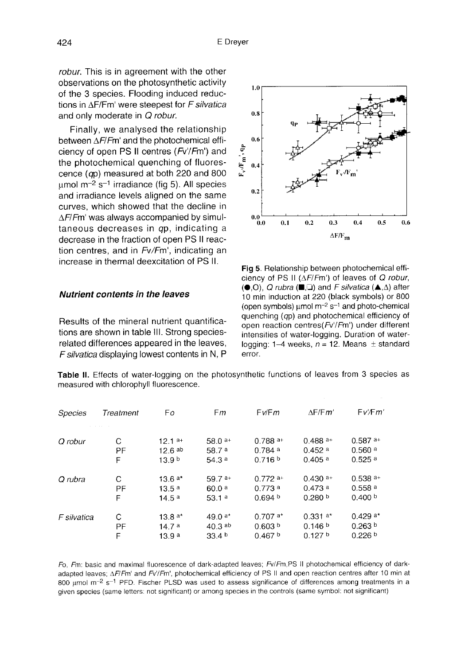robur. This is in agreement with the other observations on the photosynthetic activity of the 3 species. Flooding induced reductions in ΔF/Fm' were steepest for F silvatica and only moderate in Q robur.

Finally, we analysed the relationship between ΔF/Fm' and the photochemical efficiency of open PS II centres (Fv'/Fm') and the photochemical quenching of fluorescence (qp) measured at both 220 and 800 umol  $m^{-2}$  s<sup>-1</sup> irradiance (fig 5). All species and irradiance levels aligned on the same curves, which showed that the decline in  $\Delta F/Fm'$  was always accompanied by simultaneous decreases in qp, indicating a decrease in the fraction of open PS II reaction centres, and in Fv/Fm', indicating an increase in thermal deexcitation of PS II.

#### Nutrient contents in the leaves

Results of the mineral nutrient quantifications are shown in table III. Strong speciesrelated differences appeared in the leaves, F silvatica displaying lowest contents in N, P



Fig 5. Relationship between photochemical efficiency of PS II ( $\Delta F/Fm'$ ) of leaves of Q robur,  $(①, 0)$ , Q rubra  $(□, □)$  and F silvatica  $( △, △)$  after 10 min induction at 220 (black symbols) or 800 (open symbols)  $\mu$ mol m<sup>-2</sup> s<sup>-1</sup> and photo-chemical quenching (qp) and photochemical efficiency of open reaction centres(Fv'/Fm') under different intensities of water-logging. Duration of waterlogging: 1-4 weeks,  $n = 12$ . Means  $\pm$  standard error.

Table II. Effects of water-logging on the photosynthetic functions of leaves from 3 species as measured with chlorophyll fluorescence.

| Species     | Treatment | Fo                | Fm                | Fv/Fm              | $\wedge$ F/F $m'$     | Fv/Fm'                |
|-------------|-----------|-------------------|-------------------|--------------------|-----------------------|-----------------------|
|             |           |                   |                   |                    |                       |                       |
| Q robur     | C         | $12.1a+$          | $58.0a+$          | $0.788a+$          | $0.488a+$             | $0.587$ <sup>a+</sup> |
|             | PF        | $12.6$ ab         | 58.7 <sup>a</sup> | 0.784a             | 0.452a                | $0.560$ <sup>a</sup>  |
|             | F         | 13.9 <sup>b</sup> | 54.3a             | 0.716 b            | $0.405$ <sup>a</sup>  | 0.525a                |
| Q rubra     | C         | $13.6a*$          | $59.7a+$          | $0.772a+$          | $0.430$ <sup>a+</sup> | $0.538$ <sup>a+</sup> |
|             | PF        | 13.5a             | 60.0a             | 0.773a             | 0.473a                | $0.558$ <sup>a</sup>  |
|             | F         | 14.5 <sup>a</sup> | 53.1a             | 0.694 <sup>b</sup> | 0.280 <sup>b</sup>    | 0.400 b               |
| F silvatica | С         | 13.8 $a*$         | 49.0 $a*$         | $0.707a*$          | $0.331a*$             | $0.429a*$             |
|             | PF        | 14.7a             | $40.3$ ab         | 0.603 <sup>b</sup> | 0.146 <sup>b</sup>    | 0.263 <sup>b</sup>    |
|             | F         | 13.9 a            | 33.4 <sup>b</sup> | 0.467 <sup>b</sup> | 0.127 <sup>b</sup>    | 0.226 b               |

Fo. Fm: basic and maximal fluorescence of dark-adapted leaves; Fv/Fm,PS II photochemical efficiency of darkadapted leaves; AF/Fm' and Fv'/Fm', photochemical efficiency of PS II and open reaction centres after 10 min at 800 µmol  $m^{-2}$  s<sup>-1</sup> PFD. Fischer PLSD was used to assess significance of differences among treatments in a given species (same letters: not significant) or among species in the controls (same symbol: not significant)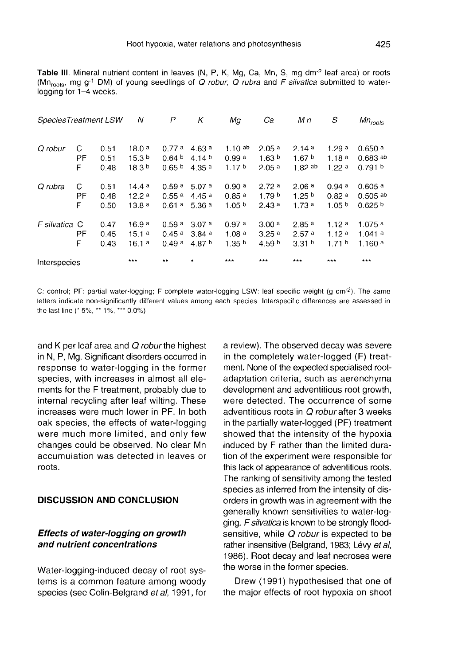|                        |  | Table III. Mineral nutrient content in leaves (N, P, K, Mg, Ca, Mn, S, mg dm <sup>-2</sup> leaf area) or roots           |  |  |  |  |  |  |
|------------------------|--|--------------------------------------------------------------------------------------------------------------------------|--|--|--|--|--|--|
|                        |  | (Mn <sub>roots</sub> , mg g <sup>-1</sup> DM) of young seedlings of Q robur, Q rubra and F silvatica submitted to water- |  |  |  |  |  |  |
| logging for 1-4 weeks. |  |                                                                                                                          |  |  |  |  |  |  |

| SpeciesTreatment LSW |              |                      | Ν                                   | P                                   | Κ                                              | Мa                                              | Ca                                     | M n                                             | S                                               | $Mn_{roots}$                                             |
|----------------------|--------------|----------------------|-------------------------------------|-------------------------------------|------------------------------------------------|-------------------------------------------------|----------------------------------------|-------------------------------------------------|-------------------------------------------------|----------------------------------------------------------|
| Q robur              | C<br>ΡF      | 0.51<br>0.51         | 18.0a<br>15.3 <sup>b</sup>          | 0.77a<br>0.64 <sup>b</sup>          | 4.63a<br>4.14 $b$                              | 1.10 $^{ab}$<br>0.99a                           | 2.05 <sup>a</sup><br>1.63 <sup>b</sup> | 2.14a<br>1.67 $b$                               | 1.29a<br>1.18a                                  | $0.650$ <sup>a</sup><br>$0.683$ ab                       |
|                      | F            | 0.48                 | 18.3 <sup>b</sup>                   | 0.65 <sup>b</sup>                   | 4.35 <sup>a</sup>                              | 1.17 <sup>b</sup>                               | 2.05a                                  | $1.82$ ab                                       | 1.22a                                           | 0.791 <sup>b</sup>                                       |
| Q rubra              | С<br>ΡF<br>F | 0.51<br>0.48<br>0.50 | 14.4a<br>12.2a<br>13.8a             | 0.59 <sup>a</sup><br>0.55a<br>0.61a | 5.07a<br>445 <sup>a</sup><br>5.36 <sup>a</sup> | 0.90a<br>0.85 <sup>a</sup><br>1.05 <sup>b</sup> | 2.72a<br>1.79 <sup>b</sup><br>2.43a    | 2.06a<br>1.25 <sup>b</sup><br>1.73a             | 0.94a<br>0.82 <sup>a</sup><br>1.05 <sup>b</sup> | $0.605$ <sup>a</sup><br>$0.505$ ab<br>0.625 <sup>b</sup> |
| F silvatica C        | PF<br>F      | 0.47<br>0.45<br>0.43 | 16.9 <sup>a</sup><br>15.1a<br>16.1a | 0.59a<br>0.45a<br>0.49a             | 3.07a<br>3.84a<br>4.87 $b$                     | 0.97a<br>1.08a<br>1.35 <sup>b</sup>             | 3.00a<br>3.25a<br>4.59 $b$             | 2.85 <sup>a</sup><br>2.57a<br>3.31 <sup>b</sup> | 1.12a<br>1.12a<br>171 <sup>b</sup>              | 1.075a<br>1.041a<br>1.160a                               |
| Interspecies         |              |                      | ***                                 | $* *$                               | $\star$                                        | ***                                             | ***                                    | ***                                             | ***                                             | $***$                                                    |

C: control; PF: partial water-logging; F complete water-logging LSW: leaf specific weight (g dm<sup>-2</sup>). The same letters indicate non-significantly different values among each species. Interspecific differences are assessed in the last line (\* 5%, \*\* 1%, \*\*\* 0.0%)

and K per leaf area and Q robur the highest in N, P, Mg. Significant disorders occurred in response to water-logging in the former species, with increases in almost all elements for the F treatment, probably due to internal recycling after leaf wilting. These increases were much lower in PF. In both oak species, the effects of water-logging were much more limited, and only few changes could be observed. No clear Mn accumulation was detected in leaves or roots.

## DISCUSSION AND CONCLUSION

#### Effects of water-logging on growth and nutrient concentrations

Water-logging-induced decay of root systems is a common feature among woody species (see Colin-Belgrand et al, 1991, for

a review). The observed decay was severe in the completely water-logged (F) treatment. None of the expected specialised rootadaptation criteria, such as aerenchyma development and adventitious root growth, were detected. The occurrence of some adventitious roots in Q robur after 3 weeks in the partially water-logged (PF) treatment showed that the intensity of the hypoxia induced by F rather than the limited duration of the experiment were responsible for this lack of appearance of adventitious roots. The ranking of sensitivity among the tested species as inferred from the intensity of disorders in growth was in agreement with the generally known sensitivities to water-logging. F silvatica is known to be strongly floodsensitive, while Q robur is expected to be rather insensitive (Belgrand, 1983; Lévy et al, 1986). Root decay and leaf necroses were the worse in the former species.

Drew (1991) hypothesised that one of the major effects of root hypoxia on shoot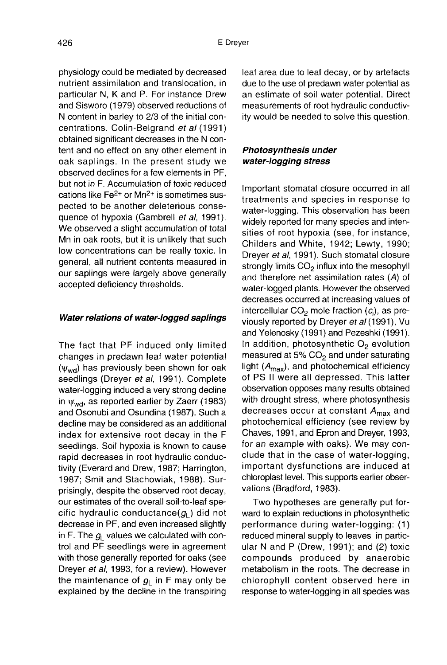physiology could be mediated by decreased nutrient assimilation and translocation, in particular N, K and P. For instance Drew and Sisworo (1979) observed reductions of N content in barley to 2/3 of the initial concentrations. Colin-Belgrand et al (1991) obtained significant decreases in the N content and no effect on any other element in oak saplings. In the present study we observed declines for a few elements in PF, but not in F. Accumulation of toxic reduced cations like Fe2+ or Mn2+ is sometimes suspected to be another deleterious consequence of hypoxia (Gambrell et al, 1991). We observed a slight accumulation of total Mn in oak roots, but it is unlikely that such low concentrations can be really toxic. In

general, all nutrient contents measured in our saplings were largely above generally accepted deficiency thresholds.

#### Water relations of water-logged saplings

The fact that PF induced only limited changes in predawn leaf water potential<br>( $\psi_{wd}$ ) has previously been shown for oak<br>seedlings (Drever et al. 1991). Complete seedlings (Dreyer et al, 1991). Complete water-logging induced a very strong decline in  $\psi_{\text{wd}}$ , as reported earlier by Zaerr (1983) and Osonubi and Osundina (1987). Such a decline may be considered as an additional index for extensive root decay in the F seedlings. Soil hypoxia is known to cause rapid decreases in root hydraulic conductivity (Everard and Drew, 1987; Harrington, 1987; Smit and Stachowiak, 1988). Surprisingly, despite the observed root decay, our estimates of the overall soil-to-leaf specific hydraulic conductance( $g_i$ ) did not decime may be considered as an additional<br>index for extensive root decay in the F Chave<br>seedlings. Soil hypoxia is known to cause for ar<br>rapid decreases in root hydraulic conductivity (Everard and Drew, 1987; Harrington, decrease in PF, and even increased slightly in F. The  $g_L$  values we calculated with control and PF seedlings were in agreement with those generally reported for oaks (see Dreyer et al, 1993, for a review). However<br>the maintenance of  $g_L$  in F may only be<br>explained by the decline in the transpiring explained by the decline in the transpiring

leaf area due to leaf decay, or by artefacts due to the use of predawn water potential as an estimate of soil water potential. Direct measurements of root hydraulic conductivity would be needed to solve this question.

## Photosynthesis under water-logging stress

Important stomatal closure occurred in all treatments and species in response to water-logging. This observation has been widely reported for many species and intensities of root hypoxia (see, for instance, Childers and White, 1942; Lewty, 1990; Dreyer et al, 1991). Such stomatal closure strongly limits  $CO<sub>2</sub>$  influx into the mesophyll and therefore net assimilation rates (A) of water-logged plants. However the observed decreases occurred at increasing values of intercellular  $CO<sub>2</sub>$  mole fraction  $(c<sub>i</sub>)$ , as previously reported by Dreyer et al (1991), Vu and Yelenosky (1991) and Pezeshki (1991). In addition, photosynthetic  $O<sub>2</sub>$  evolution measured at 5%  $CO<sub>2</sub>$  and under saturating light  $(A<sub>max</sub>)$ , and photochemical efficiency of PS II were all depressed. This latter observation opposes many results obtained with drought stress, where photosynthesis decreases occur at constant  $A_{\text{max}}$  and photochemical efficiency (see review by Chaves, 1991, and Epron and Dreyer, 1993, for an example with oaks). We may conclude that in the case of water-logging, important dysfunctions are induced at chloroplast level. This supports earlier observations (Bradford, 1983).

Two hypotheses are generally put forward to explain reductions in photosynthetic performance during water-logging: (1) reduced mineral supply to leaves in particular N and P (Drew, 1991); and (2) toxic compounds produced by anaerobic metabolism in the roots. The decrease in chlorophyll content observed here in response to water-logging in all species was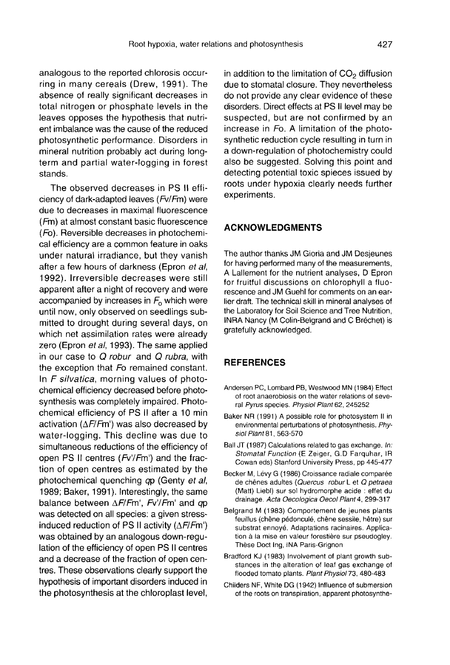analogous to the reported chlorosis occurring in many cereals (Drew, 1991). The absence of really significant decreases in total nitrogen or phosphate levels in the leaves opposes the hypothesis that nutrient imbalance was the cause of the reduced photosynthetic performance. Disorders in mineral nutrition probably act during long term and partial water-logging in forest stands.

The observed decreases in PS II efficiency of dark-adapted leaves (Fv/Fm) were due to decreases in maximal fluorescence (Fm) at almost constant basic fluorescence (Fo). Reversible decreases in photochemical efficiency are a common feature in oaks under natural irradiance, but they vanish after a few hours of darkness (Epron et al, 1992). Irreversible decreases were still apparent after a night of recovery and were accompanied by increases in  $F_0$  which were until now, only observed on seedlings submitted to drought during several days, on which net assimilation rates were already zero (Epron et al, 1993). The same applied in our case to  $Q$  robur and  $Q$  rubra, with the exception that Fo remained constant. In F silvatica, morning values of photochemical efficiency decreased before photosynthesis was completely impaired. Photochemical efficiency of PS II after a 10 min activation ( $\Delta F$ /Fm') was also decreased by water-logging. This decline was due to simultaneous reductions of the efficiency of open PS II centres (Fv'/Fm') and the fraction of open centres as estimated by the photochemical quenching qp (Genty et al, 1989; Baker, 1991). Interestingly, the same balance between  $\Delta F/Fm'$ , Fv'/Fm' and qp was detected on all species: a given stressinduced reduction of PS II activity  $(\Delta F/Fm')$ was obtained by an analogous down-regulation of the efficiency of open PS II centres and a decrease of the fraction of open centres. These observations clearly support the hypothesis of important disorders induced in the photosynthesis at the chloroplast level,

in addition to the limitation of  $CO<sub>2</sub>$  diffusion due to stomatal closure. They nevertheless do not provide any clear evidence of these disorders. Direct effects at PS II level may be suspected, but are not confirmed by an increase in Fo. A limitation of the photosynthetic reduction cycle resulting in turn in a down-regulation of photochemistry could also be suggested. Solving this point and detecting potential toxic spieces issued by roots under hypoxia clearly needs further experiments.

## ACKNOWLEDGMENTS

The author thanks JM Gioria and JM Desjeunes for having performed many of the measurements, A Lallement for the nutrient analyses, D Epron for fruitful discussions on chlorophyll a fluorescence and JM Guehl for comments on an earlier draft. The technical skill in mineral analyses of the Laboratory for Soil Science and Tree Nutrition, INRA Nancy (M Colin-Belgrand and C Bréchet) is gratefully acknowledged.

## **REFERENCES**

- Andersen PC, Lombard PB, Westwood MN (1984) Effect of root anaerobiosis on the water relations of several Pyrus species. Physiol Plant 62, 245252
- Baker NR (1991) A possible role for photosystem II in environmental perturbations of photosynthesis. Physiol Plant 81, 563-570
- Ball JT (1987) Calculations related to gas exchange. In: Stomatal Function (E Zeiger, G.D Farquhar, IR Cowan eds) Stanford University Press, pp 445-477
- Becker M, Lévy G (1986) Croissance radiale comparée de chênes adultes (Quercus robur L et Q petraea (Matt) Liebl) sur sol hydromorphe acide : effet du drainage. Acta Oecologica Oecol Plant 4, 299-317
- Belgrand M (1983) Comportement de jeunes plants feuillus (chêne pédonculé, chêne sessile, hêtre) sur substrat ennoyé. Adaptations racinaires. Applica tion à la mise en valeur forestière sur pseudogley. These Doct Ing, INA Paris-Grignon
- Bradford KJ (1983) Involvement of plant growth substances in the alteration of leaf gas exchange of flooded tomato plants. Plant Physiol 73, 480-483
- Childers NF, White DG (1942) Influence of submersion of the roots on transpiration, apparent photosynthe-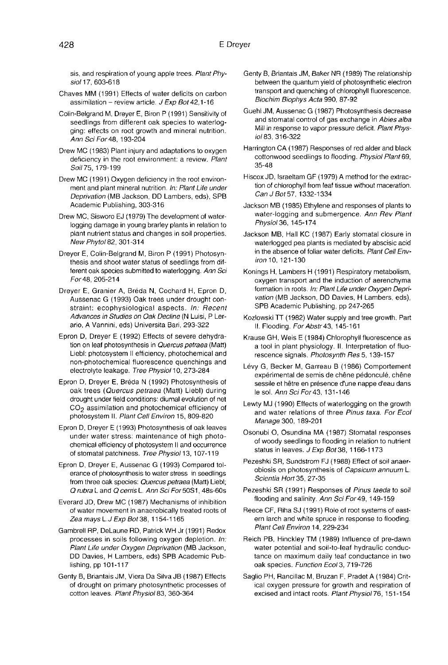sis, and respiration of young apple trees. Plant Physiol 17, 603-618

- Chaves MM (1991) Effects of water deficits on carbon assimilation - review article.  $J$  Exp Bot 42,1-16
- Colin-Belgrand M, Dreyer E, Biron P (1991) Sensitivity of seedlings from different oak species to waterlogging: effects on root growth and mineral nutrition. Ann Sci For 48, 193-204
- Drew MC (1983) Plant injury and adaptations to oxygen deficiency in the root environment: a review. Plant Soil 75, 179-199
- Drew MC (1991) Oxygen deficiency in the root environment and plant mineral nutrition. In: Plant Life under Deprivation (MB Jackson, DD Lambers, eds), SPB Academic Publishing, 303-316
- Drew MC, Sisworo EJ (1979) The development of waterlogging damage in young brarley plants in relation to plant nutrient status and changes in soil properties.<br>New Phytol 82, 301-314
- Dreyer E, Colin-Belgrand M, Biron P (1991) Photosyn thesis and shoot water status of seedlings from different oak species submitted to waterlogging. Ann Sci For 48, 205-214
- Dreyer E, Granier A, Breda N, Cochard H, Epron D, Aussenac G (1993) Oak trees under drought constraint: ecophysiological aspects. In: Recent Advances in Studies on Oak Decline (N Luisi, P Lerario, A Vannini, eds) Universita Bari, 293-322
- Epron D, Dreyer E (1992) Effects of severe dehydra tion on leaf photosynthesis in Quercus petraea (Matt) Liebl: photosystem II efficiency, photochemical and non-photochemical fluorescence quenchings and electrolyte leakage. Tree Physiol 10, 273-284
- Epron D, Dreyer E, Breda N (1992) Photosynthesis of oak trees (Quercus petraea (Matt) Liebl) during drought under field conditions: diurnal evolution of net<br>CO<sub>2</sub> assimilation and photochemical efficiency of<br>photocystam IL *Plant Coll Environ* 15,809,820 photosystem II. Plant Cell Environ 15, 809-820
- Epron D, Dreyer E (1993) Photosynthesis of oak leaves under water stress: maintenance of high photo chemical efficiency of photosystem II and occurrence of stomatal patchiness. Tree Physiol 13, 107-119
- Epron D, Dreyer E, Aussenac G (1993) Compared tolerance of photosynthesis to water stress in seedlings from three oak species: Quercus petraea (Matt) Liebl; Q rubra L and Q cerris L Ann Sci For 50S1, 48s-60s
- Everard JD, Drew MC (1987) Mechanisms of inhibition of water movement in anaerobically treated roots of Zea mays L. J Exp Bot 38, 1154-1165
- Gambrell RP, DeLaune RD, Patrick WH Jr (1991) Redox processes in soils following oxygen depletion. In: Plant Life under Oxygen Deprivation (MB Jackson, DD Davies, H Lambers, eds) SPB Academic Publishing, pp 101-117
- Genty B, Briantais JM, Viera Da Silva JB (1987) Effects of drought on primary photosynthetic processes of cotton leaves. Plant Physiol 83, 360-364
- Genty B, Briantais JM, Baker NR (1989) The relationship between the quantum yield of photosynthetic electron transport and quenching of chlorophyll fluorescence. Biochim Biophys Acta 990, 87-92
- Guehl JM, Aussenac G (1987) Photosynthesis decrease and stomatal control of gas exchange in Abies alba Mill in response to vapor pressure deficit. Plant Physiol 83, 316-322
- Harrington CA (1987) Responses of red alder and black cottonwood seedlings to flooding. Physiol Plant 69, 35-48
- Hiscox JD, Israeltam GF (1979) A method for the extraction of chlorophyll from leaf tissue without maceration. Can J Bot 57, 1332-1334
- Jackson MB (1985) Ethylene and responses of plants to water-logging and submergence. Ann Rev Plant Physiol 36, 145-174
- Jackson MB, Hall KC (1987) Early stomatal closure in waterlogged pea plants is mediated by abscisic acid in the absence of foliar water deficits. Plant Cell Environ 10, 121-130
- Konings H, Lambers H (1991) Respiratory metabolism, oxygen transport and the induction of aerenchyma<br>formation in roots. In: Plant Life under Oxygen Deprivation (MB Jackson, DD Davies, H Lambers, eds), SPB Academic Publishing, pp 247-265
- Kozlowski TT (1982) Water supply and tree growth. Part II. Flooding. For Abstr 43, 145-161
- Krause GH, Weis E (1984) Chlorophyll fluorescence as a tool in plant physiology. II. Interpretation of fluorescence signals. Photosynth Res 5, 139-157
- Lévy G, Becker M, Garreau B (1986) Comportement expérimental de semis de chêne pédonculé, chêne sessile et hêtre en présence d'une nappe d'eau dans le sol. Ann Sci For 43, 131-146
- Lewty MJ (1990) Effects of waterlogging on the growth and water relations of three Pinus taxa. For Ecol Manage 300, 189-201
- Osonubi O, Osundina MA (1987) Stomatal responses of woody seedlings to flooding in relation to nutrient status in leaves. J Exp Bot 38, 1166-1173
- Pezeshki SR, Sundstrom FJ (1988) Effect of soil anaerobiosis on photosynthesis of Capsicum annuum L. Scientia Hort 35, 27-35
- Pezeshki SR (1991) Responses of Pinus taeda to soil flooding and salinity. Ann Sci For 49, 149-159
- Reece CF, Riha SJ (1991) Role of root systems of eastern larch and white spruce in response to flooding. Plant Cell Environ 14, 229-234
- Reich PB, Hinckley TM (1989) Influence of pre-dawn water potential and soil-to-leaf hydraulic conductance on maximum daily leaf conductance in two oak species. Function Ecol 3, 719-726
- Saglio PH, Rancillac M, Bruzan F, Pradet A (1984) Critical oxygen pressure for growth and respiration of excised and intact roots. Plant Physiol 76, 151-154